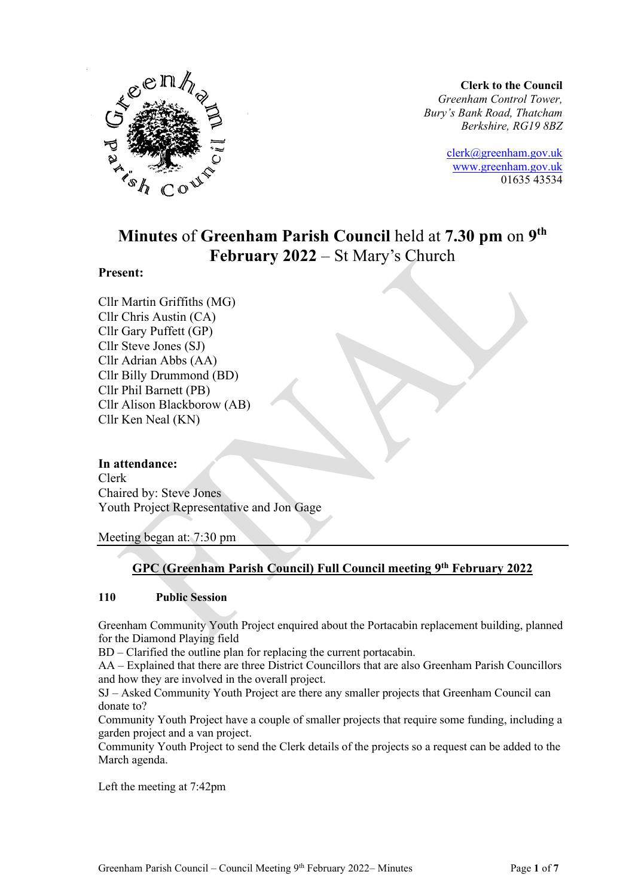

**Clerk to the Council** *Greenham Control Tower, Bury's Bank Road, Thatcham Berkshire, RG19 8BZ*

> [clerk@greenham.gov.uk](mailto:clerk@greenham.gov.uk) [www.greenham.gov.uk](http://www.greenham.gov.uk/) 01635 43534

# **Minutes** of **Greenham Parish Council** held at **7.30 pm** on **9 th February 2022** – St Mary's Church

### **Present:**

Cllr Martin Griffiths (MG) Cllr Chris Austin (CA) Cllr Gary Puffett (GP) Cllr Steve Jones (SJ) Cllr Adrian Abbs (AA) Cllr Billy Drummond (BD) Cllr Phil Barnett (PB) Cllr Alison Blackborow (AB) Cllr Ken Neal (KN)

### **In attendance:**

Clerk Chaired by: Steve Jones Youth Project Representative and Jon Gage

Meeting began at: 7:30 pm

### **GPC (Greenham Parish Council) Full Council meeting 9 th February 2022**

### **110 Public Session**

Greenham Community Youth Project enquired about the Portacabin replacement building, planned for the Diamond Playing field

BD – Clarified the outline plan for replacing the current portacabin.

AA – Explained that there are three District Councillors that are also Greenham Parish Councillors and how they are involved in the overall project.

SJ – Asked Community Youth Project are there any smaller projects that Greenham Council can donate to?

Community Youth Project have a couple of smaller projects that require some funding, including a garden project and a van project.

Community Youth Project to send the Clerk details of the projects so a request can be added to the March agenda.

Left the meeting at 7:42pm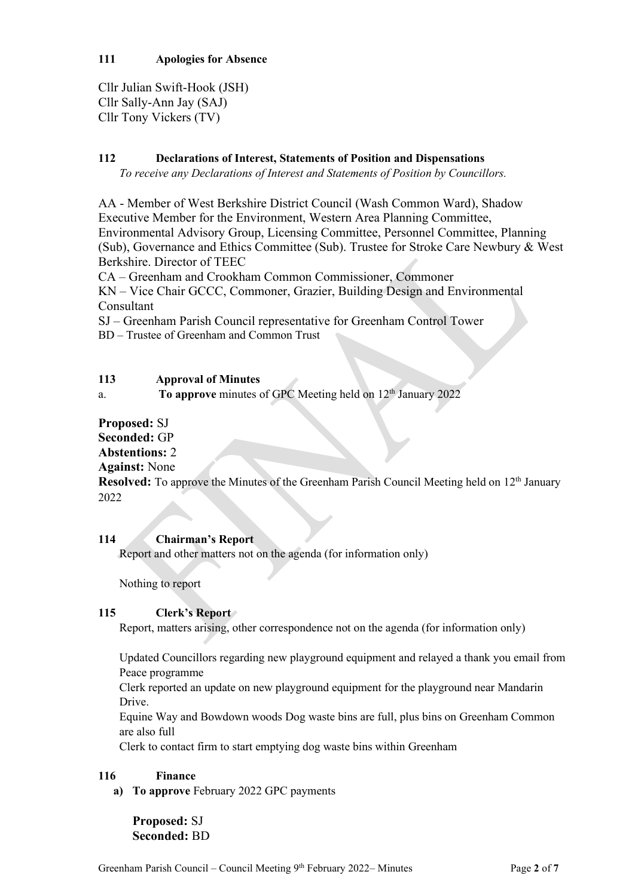Cllr Julian Swift-Hook (JSH) Cllr Sally-Ann Jay (SAJ) Cllr Tony Vickers (TV)

### **112 Declarations of Interest, Statements of Position and Dispensations**

*To receive any Declarations of Interest and Statements of Position by Councillors.* 

AA - Member of West Berkshire District Council (Wash Common Ward), Shadow Executive Member for the Environment, Western Area Planning Committee, Environmental Advisory Group, Licensing Committee, Personnel Committee, Planning (Sub), Governance and Ethics Committee (Sub). Trustee for Stroke Care Newbury & West Berkshire. Director of TEEC

CA – Greenham and Crookham Common Commissioner, Commoner

KN – Vice Chair GCCC, Commoner, Grazier, Building Design and Environmental Consultant

SJ – Greenham Parish Council representative for Greenham Control Tower

BD – Trustee of Greenham and Common Trust

|  | 113 | <b>Approval of Minutes</b> |
|--|-----|----------------------------|
|--|-----|----------------------------|

a. **To approve** minutes of GPC Meeting held on 12<sup>th</sup> January 2022

### **Proposed:** SJ

# **Seconded:** GP

# **Abstentions:** 2

### **Against:** None

**Resolved:** To approve the Minutes of the Greenham Parish Council Meeting held on 12<sup>th</sup> January 2022

### **114 Chairman's Report**

Report and other matters not on the agenda (for information only)

Nothing to report

### **115 Clerk's Report**

Report, matters arising, other correspondence not on the agenda (for information only)

Updated Councillors regarding new playground equipment and relayed a thank you email from Peace programme

Clerk reported an update on new playground equipment for the playground near Mandarin Drive.

Equine Way and Bowdown woods Dog waste bins are full, plus bins on Greenham Common are also full

Clerk to contact firm to start emptying dog waste bins within Greenham

### **116 Finance**

**a) To approve** February 2022 GPC payments

**Proposed:** SJ **Seconded:** BD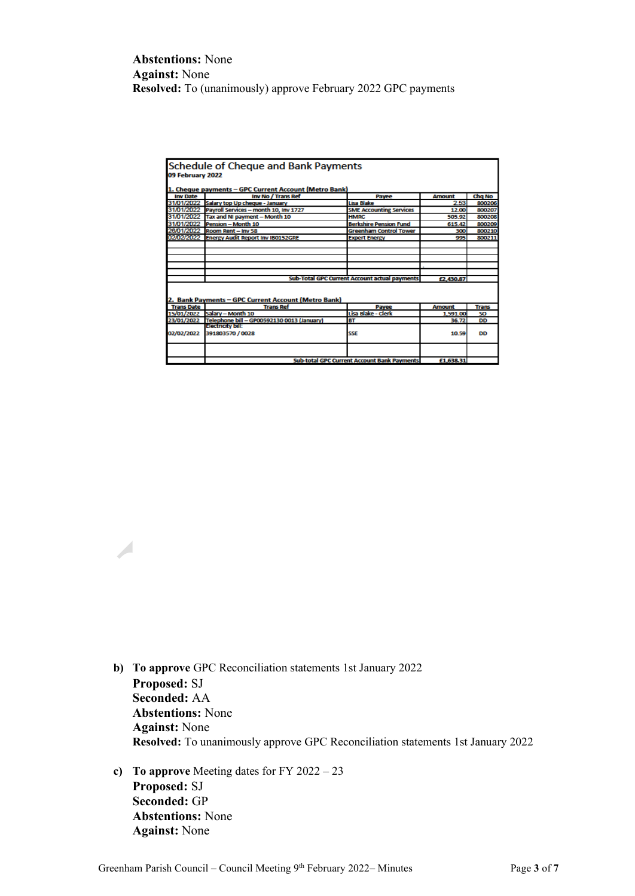### **Abstentions:** None **Against:** None **Resolved:** To (unanimously) approve February 2022 GPC payments

|                                               | <b>Schedule of Cheque and Bank Payments</b>           |                                                    |               |        |  |
|-----------------------------------------------|-------------------------------------------------------|----------------------------------------------------|---------------|--------|--|
|                                               |                                                       |                                                    |               |        |  |
| 09 February 2022                              |                                                       |                                                    |               |        |  |
|                                               |                                                       |                                                    |               |        |  |
|                                               | 1. Cheque payments - GPC Current Account (Metro Bank) |                                                    |               |        |  |
| <b>Inv Date</b>                               | Inv No / Trans Ref                                    | Payee                                              | <b>Amount</b> | Chg No |  |
| 31/01/2022                                    | Salary top Up cheque - January                        | Lisa Blake                                         | 2.53          | 800206 |  |
| 31/01/2022                                    | Payroll Services - month 10, Inv 1727                 | <b>SME Accounting Services</b>                     | 12.00         | 800207 |  |
| 31/01/2022                                    | Tax and NI payment - Month 10                         | <b>HMRC</b>                                        | 505.92        | 800208 |  |
| 31/01/2022                                    | Pension - Month 10                                    | <b>Berkshire Pension Fund</b>                      | 615.42        | 800209 |  |
| 26/01/2022                                    | Room Rent - Inv 58                                    | <b>Greenham Control Tower</b>                      | 300           | 800210 |  |
| 02/02/2022                                    | <b>Energy Audit Report Inv IB0152GRE</b>              | <b>Expert Energy</b>                               | 995           | 800211 |  |
|                                               |                                                       |                                                    |               |        |  |
|                                               |                                                       |                                                    |               |        |  |
|                                               |                                                       |                                                    |               |        |  |
|                                               |                                                       |                                                    |               |        |  |
|                                               |                                                       |                                                    |               |        |  |
| Sub-Total GPC Current Account actual payments |                                                       |                                                    | £2,430.87     |        |  |
|                                               |                                                       |                                                    |               |        |  |
|                                               |                                                       |                                                    |               |        |  |
|                                               | 2. Bank Payments - GPC Current Account (Metro Bank)   |                                                    |               |        |  |
| <b>Trans Date</b>                             | <b>Trans Ref</b>                                      | Payee                                              | <b>Amount</b> | Trans  |  |
| 15/01/2022                                    | Salary - Month 10                                     | Lisa Blake - Clerk                                 | 1,591.00      | SO.    |  |
| 23/01/2022                                    | Telephone bill - GP00592130 0013 (January)            | <b>BT</b>                                          | 36.72         | DD     |  |
|                                               | Electricity bill:                                     |                                                    |               |        |  |
| 02/02/2022                                    | 391803570 / 0028                                      | <b>SSE</b>                                         | 10.59         | DD     |  |
|                                               |                                                       |                                                    |               |        |  |
|                                               |                                                       |                                                    |               |        |  |
|                                               |                                                       |                                                    |               |        |  |
|                                               |                                                       | <b>Sub-total GPC Current Account Bank Payments</b> | £1,638.31     |        |  |

- **b) To approve** GPC Reconciliation statements 1st January 2022 **Proposed:** SJ **Seconded:** AA **Abstentions:** None **Against:** None **Resolved:** To unanimously approve GPC Reconciliation statements 1st January 2022
- **c) To approve** Meeting dates for FY 2022 23 **Proposed:** SJ **Seconded:** GP **Abstentions:** None **Against:** None

 $\overline{\mathcal{A}}$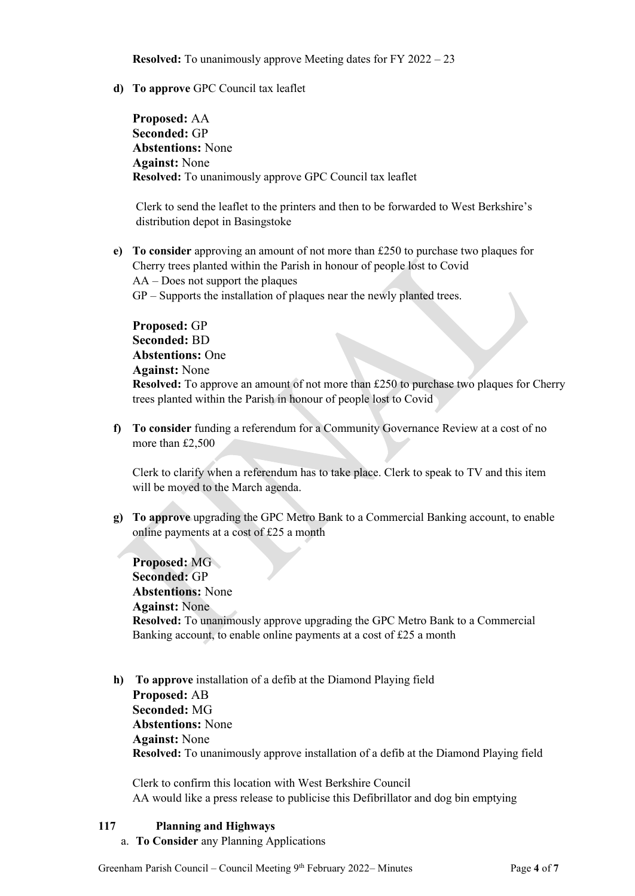**Resolved:** To unanimously approve Meeting dates for FY 2022 – 23

**d) To approve** GPC Council tax leaflet

**Proposed:** AA **Seconded:** GP **Abstentions:** None **Against:** None **Resolved:** To unanimously approve GPC Council tax leaflet

Clerk to send the leaflet to the printers and then to be forwarded to West Berkshire's distribution depot in Basingstoke

**e) To consider** approving an amount of not more than £250 to purchase two plaques for Cherry trees planted within the Parish in honour of people lost to Covid AA – Does not support the plaques

GP – Supports the installation of plaques near the newly planted trees.

**Proposed:** GP **Seconded:** BD **Abstentions:** One **Against:** None **Resolved:** To approve an amount of not more than £250 to purchase two plaques for Cherry trees planted within the Parish in honour of people lost to Covid

**f) To consider** funding a referendum for a Community Governance Review at a cost of no more than £2,500

Clerk to clarify when a referendum has to take place. Clerk to speak to TV and this item will be moved to the March agenda.

**g) To approve** upgrading the GPC Metro Bank to a Commercial Banking account, to enable online payments at a cost of £25 a month

**Proposed:** MG **Seconded:** GP **Abstentions:** None **Against:** None **Resolved:** To unanimously approve upgrading the GPC Metro Bank to a Commercial Banking account, to enable online payments at a cost of £25 a month

**h) To approve** installation of a defib at the Diamond Playing field **Proposed:** AB **Seconded:** MG **Abstentions:** None **Against:** None **Resolved:** To unanimously approve installation of a defib at the Diamond Playing field

Clerk to confirm this location with West Berkshire Council AA would like a press release to publicise this Defibrillator and dog bin emptying

### **117 Planning and Highways**

a. **To Consider** any Planning Applications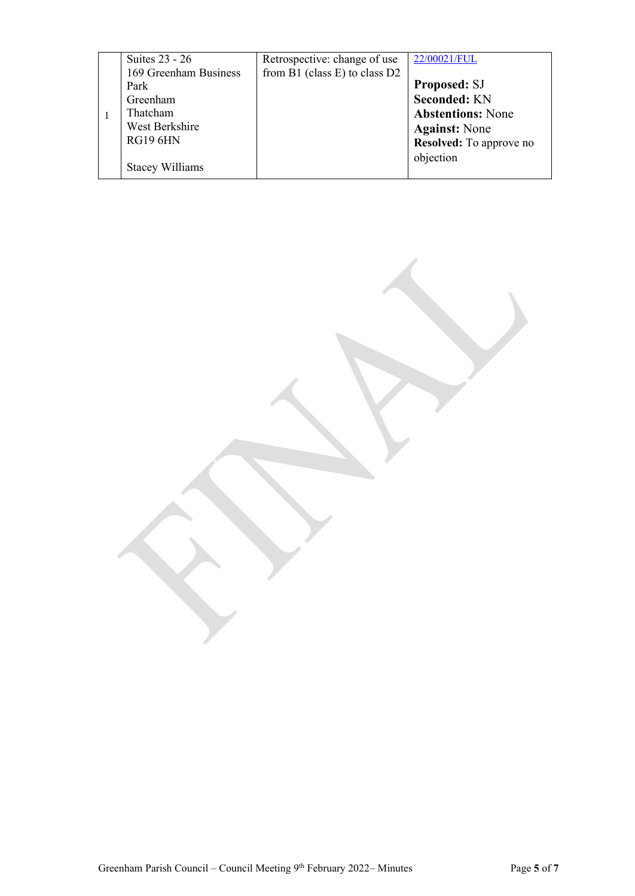| Suites 23 - 26         | Retrospective: change of use      | 22/00021/FUL             |
|------------------------|-----------------------------------|--------------------------|
| 169 Greenham Business  | from $B1$ (class E) to class $D2$ |                          |
| Park                   |                                   | <b>Proposed: SJ</b>      |
| Greenham               |                                   | <b>Seconded: KN</b>      |
| Thatcham               |                                   | <b>Abstentions: None</b> |
| West Berkshire         |                                   | <b>Against:</b> None     |
| <b>RG19 6HN</b>        |                                   | Resolved: To approve no  |
|                        |                                   | objection                |
| <b>Stacey Williams</b> |                                   |                          |
|                        |                                   |                          |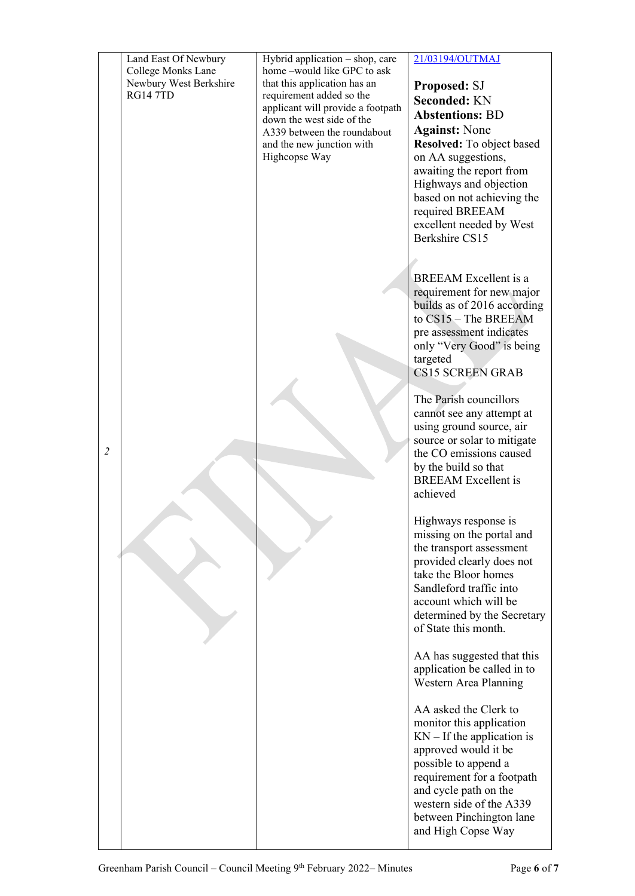|                | Land East Of Newbury<br>College Monks Lane<br>Newbury West Berkshire<br><b>RG14 7TD</b> | Hybrid application $-$ shop, care<br>home-would like GPC to ask<br>that this application has an<br>requirement added so the<br>applicant will provide a footpath<br>down the west side of the<br>A339 between the roundabout<br>and the new junction with<br>Highcopse Way | 21/03194/OUTMAJ<br>Proposed: SJ<br><b>Seconded: KN</b><br><b>Abstentions: BD</b><br><b>Against:</b> None<br>Resolved: To object based<br>on AA suggestions,<br>awaiting the report from<br>Highways and objection<br>based on not achieving the<br>required BREEAM<br>excellent needed by West<br>Berkshire CS15 |
|----------------|-----------------------------------------------------------------------------------------|----------------------------------------------------------------------------------------------------------------------------------------------------------------------------------------------------------------------------------------------------------------------------|------------------------------------------------------------------------------------------------------------------------------------------------------------------------------------------------------------------------------------------------------------------------------------------------------------------|
|                |                                                                                         |                                                                                                                                                                                                                                                                            | <b>BREEAM</b> Excellent is a<br>requirement for new major<br>builds as of 2016 according<br>to CS15 - The BREEAM<br>pre assessment indicates<br>only "Very Good" is being<br>targeted<br><b>CS15 SCREEN GRAB</b>                                                                                                 |
| $\overline{2}$ |                                                                                         |                                                                                                                                                                                                                                                                            | The Parish councillors<br>cannot see any attempt at<br>using ground source, air<br>source or solar to mitigate<br>the CO emissions caused<br>by the build so that<br><b>BREEAM</b> Excellent is<br>achieved                                                                                                      |
|                |                                                                                         |                                                                                                                                                                                                                                                                            | Highways response is<br>missing on the portal and<br>the transport assessment<br>provided clearly does not<br>take the Bloor homes<br>Sandleford traffic into<br>account which will be<br>determined by the Secretary<br>of State this month.                                                                    |
|                |                                                                                         |                                                                                                                                                                                                                                                                            | AA has suggested that this<br>application be called in to<br>Western Area Planning                                                                                                                                                                                                                               |
|                |                                                                                         |                                                                                                                                                                                                                                                                            | AA asked the Clerk to<br>monitor this application<br>$KN - If the application is$<br>approved would it be<br>possible to append a<br>requirement for a footpath<br>and cycle path on the<br>western side of the A339<br>between Pinchington lane<br>and High Copse Way                                           |